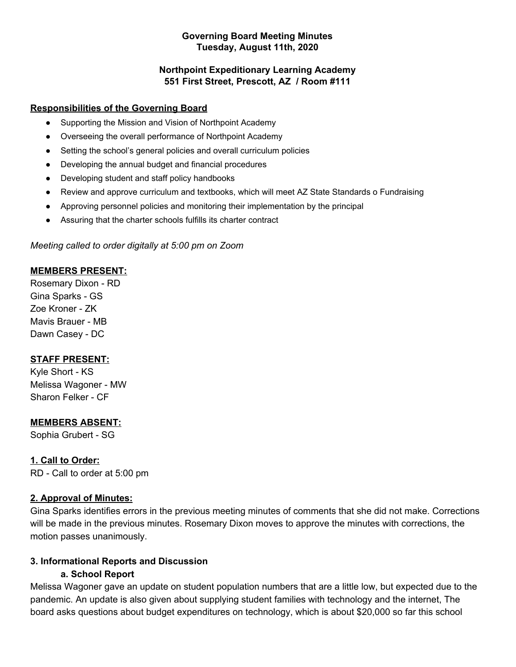#### **Governing Board Meeting Minutes Tuesday, August 11th, 2020**

### **Northpoint Expeditionary Learning Academy 551 First Street, Prescott, AZ / Room #111**

### **Responsibilities of the Governing Board**

- Supporting the Mission and Vision of Northpoint Academy
- Overseeing the overall performance of Northpoint Academy
- Setting the school's general policies and overall curriculum policies
- Developing the annual budget and financial procedures
- Developing student and staff policy handbooks
- Review and approve curriculum and textbooks, which will meet AZ State Standards o Fundraising
- Approving personnel policies and monitoring their implementation by the principal
- Assuring that the charter schools fulfills its charter contract

### *Meeting called to order digitally at 5:00 pm on Zoom*

### **MEMBERS PRESENT:**

Rosemary Dixon - RD Gina Sparks - GS Zoe Kroner - ZK Mavis Brauer - MB Dawn Casey - DC

### **STAFF PRESENT:**

Kyle Short - KS Melissa Wagoner - MW Sharon Felker - CF

### **MEMBERS ABSENT:**

Sophia Grubert - SG

### **1. Call to Order:**

RD - Call to order at 5:00 pm

### **2. Approval of Minutes:**

Gina Sparks identifies errors in the previous meeting minutes of comments that she did not make. Corrections will be made in the previous minutes. Rosemary Dixon moves to approve the minutes with corrections, the motion passes unanimously.

### **3. Informational Reports and Discussion**

#### **a. School Report**

Melissa Wagoner gave an update on student population numbers that are a little low, but expected due to the pandemic. An update is also given about supplying student families with technology and the internet, The board asks questions about budget expenditures on technology, which is about \$20,000 so far this school